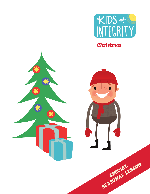

*Christmas*

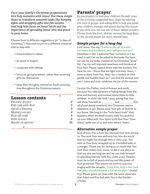*Turn your family's Christmas preparations into holy moments with Jesus! Use these simple ideas to transform seasonal tasks like hanging lights and wrapping gifts into fun lessons that help kids focus on Jesus' birth and the importance of spreading Jesus' love and peace in your home.*

Choose from 12 different suggestions (or "12 days of Christmas") that each touch on a different character trait to help kids:

- show kindess to others
- be quick to forgive
- cooperate with siblings
- focus on giving to others, rather than receiving gifts for themselves
- keep their thoughts centred on God's amazing love throughout the Christmas season.

σ

# Lesson contents

| Parents' prayer      | 2  |
|----------------------|----|
| Kids talk with God   | 3  |
| Speak a blessing     | 3  |
| Memory verses        | 4  |
| Kick-off craft       | 4  |
| <b>Bible stories</b> | 6  |
| Hands-on options     | 21 |
|                      |    |

# Parents' prayer

*As you prepare to lead your children through some of the activities suggested here, begin by meeting the Lord in prayer and asking Him to help you guide your children lovingly and wisely during this lesson. If you wish, you can use one of these sample prayers. Choose from the first, shorter version for busy days, or the second prayer for more relaxed days.*

# *Sample prayer for a busy day*

Lord Jesus, You say, "Come to Me, all you who are weary and burdened, and I will give you rest" (Matthew 11:28). I welcome Your invitation as I do need a rest! Let me be yoked to the tasks *You* have set out for me today instead of my Christmas "prep" list. I lay my self-imposed weariness and burdens at Your feet. Please replace them with the burdens You have for me - those that are light and easy. Jesus, I want to learn from You. May I be a student of Your gentle and humble heart so I can find the elusive soul rest I crave and truly celebrate the joy of this season.

I praise You Father, Lord of heaven and earth, because You take pleasure in hiding things from the wise and learned, and instead reveal them to little children. In child-like faith I pray, asking that You will show Yourself to and (*list*) and (*list*) *all of your family members*) this Christmas season (Matthew 11:25). Please send Your gift of Shalom to our home. We long for the "holy heart hush" that happens when we dwell closely with You and end up over-filled with Your Spirit such that Your "loveliness" spills out of us and onto others. Amen.

### *Alternative sample prayer*

God of love, this is how You showed Your love among us: You sent Your one and only Son into the world that we might live through Him (1 John 4:9). You sent us Your love, wrapped up as a bundled baby in a manger. Thank you for loving us so much that You sent Your sinless Son, Jesus, to die in our place so that our sins are forgiven and we can look forward to spending eternity with You (John 3:16). Heaven must be so full of peace and joy and the power of Your presence! This season we want to practice singing with the seraphs, "Holy, holy, holy is the Lord Almighty; the whole earth is full of His glory" (Isaiah 6:3). Please grace our lives with the same closeness that Adam and Eve had with You in the Garden of Eden.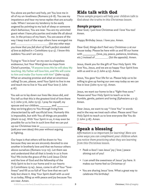You alone are perfect and holy, yet You love me in all of my un-loveliness (Romans 5:6-8). You see my impatience and hear my terse replies that are actually rude. When I excuse my tendency to be easily angered by pointing to my lack of sleep or someone else's behaviour, You are near. You are my uninvited guest when I have pity parties and make life all about me. In the privacy of my heart, You are aware of the way I keep track of the ways others have wronged me and (*list any other ways you know that you fall short of God's perfect standard of love as defined in 1 Corinthians 13:4-5*). I know this saddens You and I am sorry.

Trying to "live in love" on my own is a hopeless endeavour, but Your Word gives me hope from Christ's promise, "If anyone loves Me he will obey My teaching. My Father will love him, and We will come to him and make Our home with him" (John 14:23). What an amazing promise and what an enormous calling! So yes, please, send Your Spirit to live in me and teach me to live in You and Your love (1 John 4:16).

You ask us to lay down our lives like Jesus did, and You tell us that this is the greatest kind of love there is (1 John 3:16, John 15:13). I pray for myself, my spouse and our children, and May we bring glory to You through living lives characterized by self-sacrificial love. Humanly this is impossible, but with You all things are possible (Mark 10:24). With Your Spirit in us, it may even be possible for us to live in such love that we can put up our Christmas tree or (*add your own ideas*) this year without arguing

or fighting.

Our hope is that others will be drawn to You because they see we are sincerely devoted to one another in brotherly love and that we honour others above ourselves (Romans 12:9-10). Let them see and understand that all that is lovely in us is from You! We invite the grace of the Lord Jesus Christ and the love of God and the fellowship of the Holy Spirit to be in our home and in our hearts (2 Corinthians 13:14). Jesus, come in all of Your "loveliness" and fill us so full of Your love that we can't help but share it. May Your Spirit dwell with us and in us today, filling us with peace and joy because You are near. Amen.

# Kids talk with God

*These sample prayers will help your children talk to God about the truths in this Christmas lesson.*

# *Sample prayers*

Dear God, I just love Christmas and I love You too! Amen.

Happy Birthday Jesus. I love you. Amen.

Dear God, things don't feel very Christmas-y at our house today. Please be here with us and fill our home with (love, joy, peace, patience, kindness, etc.) instead of (*list the opposite*). Amen.

Jesus, thank you for the gift of Your Holy Spirit. We love You, Jesus, and we are so happy Your Spirit lives with us and in us (1 John 4:13). Amen.

Jesus, You gave Your life for us. Please help us to be willing to give up having our own way today so we can live in love (John 15:12-13). Amen.

Jesus, we want our home to be a "fight-free zone." Please send Your Holy Spirit to teach us to be humble, gentle, patient and loving (Ephesians 4:2-3). Amen.

Dear Jesus, we want to say "I love You" in words *and* in the way we treat each other. Please send Your Holy Spirit to teach us to love everyone like You do (1 John 3:18). Amen.

# Speak a blessing

*Affirmation is so important for learning! Here are some ways you can compliment your children when you notice them practicing what they are learning from this Christmas lesson.*

- Peek-a-boo! I see Jesus' joy / love / peace shining out of you!
- I can smell the sweetness of Jesus' joy here. It makes our home feel so Christmas-y!
- You are sharing Jesus' love. What a great way to celebrate His birthday!

ਨ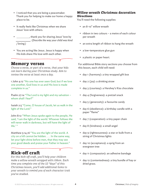- I noticed that you are being a peacemaker. Thank you for helping to make our home a happy place to be.
- It really feels like Christmas when we share Jesus' love with others.
- **1201**, thank you for sharing Jesus' love by . (*Describe the way your child was kind / loving.*)
- You are acting like Jesus. Jesus is happy when His kids share His love with each other.

# Memory verses

*Choose a verse, or part of a verse, that your kids can learn during your Christmas study. Aim to review the verse at least once a day.*

1 John 4:12 "No one has ever seen God; but if we love one another, God lives in us and His love is made complete in us."

Psalm 27:1a "The Lord is my light and my salvation – whom shall I fear?"

Isaiah 2:5 "Come, O house of Jacob, let us walk in the light of the Lord."

John 8:12 "When Jesus spoke again to the people, He said, 'I am the light of the world. Whoever follows Me will never walk in darkness, but will have the light of life.'"

Matthew 5:14,16 "You are the light of the world. A city on a hill cannot be hidden. . . . In the same way, let your light shine before men, that they may see your good deeds and praise your Father in heaven."

δ

# Kick-off craft

*For this kick-off craft, you'll help your children make a willow wreath wrapped with ribbon. Each time you complete one of the 12 "days" of this Christmas lesson, you'll add additional items to your wreath to remind you of each character trait you've studied.*

# *Willow wreath Christmas decoration* **Directions**

You'll need the following supplies:

- an 8-10" willow wreath
- ribbon in two colours a metre of each colour per wreath
- an extra length of ribbon to hang the wreath
- a low-temperature glue gun
- a plastic or paper heart.

For additional Bible story sections you choose from this lesson, each child will need:

- day 1 (harmony): a tiny wrapped gift box
- day 2 (joy): a drinking straw
- day 3 (courtesy): a Hershey's Kiss chocolate
- day 4 (forgiveness): a pretzel snack
- day 5 (generosity): a favourite candy
- day 6 (obedience): a birthday candle with a paper "flame"
- day 7 (cooperation): a tiny paper chain
- day 8 (kindness): a small angel
- day 9 (righteousness): a star or bulb from a string of Christmas lights
- day 10 (acceptance): a sprig from an evergreen tree
- day 11 (compassion): an adhesive bandage
- day 12 (contentedness): a tiny bundle of hay or dried grass.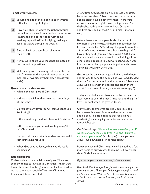- **1** Secure one end of the ribbon to each wreath with a knot or a spot of glue.
- *2* Have your children weave the ribbon through the willow branches in any fashion they choose. (Taping the end of the ribbon with some masking tape will stiffen it slightly, making it easier to weave through the wreath.)
- *3* Glue a plastic or paper heart shape to each wreath.
- *4* As you work, share your thoughts prompted by the discussion questions.
- *5* Make a loop with remaining ribbon and tie each child's wreath to the back of their chair at the meal table. (Or display them elsewhere if you wish.)

### Questions for discussion

- What is the best part of Christmas?
- Is there a special food or treat that reminds you of Christmas?
- Do you have any favourite Christmas songs you like to sing?
- Is there anything you don't like about Christmas?
- Is there someone you would like to give a gift to this Christmas?
- Can you tell me about a time when someone did something kind for you?
- When God sent us Jesus, what was He really sending us?

### Key concepts

Christmas is such a special time of year. There are so many things to love about Christmas! I think God loves Christmas too. My guess is that He likes it when we make an extra special effort over Christmas to think about Jesus and His love.

To make your wreaths: A long time ago, people didn't celebrate Christmas, because Jesus hadn't been born yet. In those days, people didn't have electricity either. There were no switches to turn lights on after it got dark. And flashlights hadn't been invented yet. Oil lamps and fires provided all the light, and nighttime was very dark.

> Before Jesus was born, people also had a lot of darkness in their hearts. All their sin made them feel lost and lonely. God's Word says the people were like a flock of sheep who were lost, because they didn't have a shepherd (Jeremiah 50:6, Mark 6:34). Even the people who were supposed to be helping all the other people be close to God were confused. It was like they were blind people leading others who were also blind (Matthew 23:16-26).

> God knew the only way to get rid of all the darkness and sin was to send the people His love. God decided that His Son Jesus would be the perfect gift because Jesus would live with the people and teach them about God's love (1 John 4:7-12, Matthew 9:35-36).

> Today we added a heart to our wreaths because the heart reminds us of the first Christmas and the gift of love God sent when He gave us Jesus.

Our wreaths themselves are like God's love, too, because each wreath is a circle that has no start and no end. The Bible tells us that God's love is everlasting, meaning it goes on forever and ever (Jeremiah 31:3).

God's Word says, "No one has ever seen God; but if we love one another, God lives in us and His love is made complete in us" (1 John 4:12). Have you seen Jesus' love anywhere or in anyone today?

Between now and Christmas, we will be adding a few more items to our wreaths to remind us how we can show God's love to others

### *If you wish, you can end your craft time in prayer:*

*Dear God, thank you for loving us with love that goes on forever and ever. Thank you for loving us enough to send us Your son Jesus. We love You! Please send Your Spirit to live in us so that we can love everyone like You do. Amen.*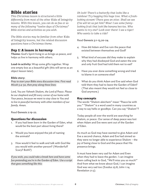# Bible stories

*This Christmas lesson is structured a little differently from most of the other* Kids of Integrity *lessons. With this lesson, you can do as few or as many of the following "twelve days of Christmas" Bible stories and activities as you wish.* 

*The Bible stories may be familiar from other* Kids of Integrity *lessons, but the related discussion questions have a Christmas theme.*

# *Day 1: A lesson in harmony*

**Theme:** God's Spirit living in us brings us peace, and helps us live in harmony with others.

**Lead-in activity:** Wrap some gifts together. Wrap one empty box as a beautiful gift (this will serve as an object lesson later).

### **Bible story:**

*Pray to start your Bible story discussion time. First read Micah 5:4-5a, then pray along these lines:*

*Lord, You are Yahweh Shalom, the Lord of Peace. Please be our shepherd and fill every corner of our home with Your peace, because we want to stay close to You and to live in peaceful harmony with other members of our family. Amen.*

Read Genesis 2:19-22.

# Questions for discussion

- 1. If you had been born in the Garden of Eden, what would be the best part about living there?
- 2. Would you have enjoyed the job of naming the animals?
- 3. How would it feel to walk and talk with God like you would with another person? (Wonderful? Scary? Both?)

*If you wish, you could take a break here and have some fun pretending you're in the Garden of Eden. Use a script that goes something like this:*

*Oh look! There's a butterfly that looks like a rainbow! Try hugging this huge tree. What a freshlooking stream! There goes an otter. Shall we see if he will let us pet him? Wow! I see some funnylooking fruit that look like banana berries. Who wants to try one? Look over there! I see a tiger! Who wants to take a ride?*

Read Genesis 3:1-13,20-24.

- 4. How did Adam and Eve ruin the peace that existed between themselves and God?
- 5. What kind of excuses did they make to explain why they had disobeyed God and eaten the one and only fruit God had told them *not* to eat?
- 6. Have you ever done something wrong and tried to blame it on someone else?
- 7. What do you think Adam and Eve said when God told them they had to leave the Garden of Eden? (That also meant they would not feel so close to God anymore.)

# Key concepts

The words "Shalom aleichem" mean "Peace be with you." "Shalom" is a word used in many countries as a way to say hello or goodbye. Can you say "Shalom"?

Today people all over the world are searching for shalom, or peace. Our sense of deep peace was lost when Adam and Eve were sent out of the Garden of Eden.

As much as God may have wanted to give Adam and Eve a second chance, Adam and Eve had sinned so they were no longer able to experience Shalom – the joy of being close to God and the peace that His presence brings.

It must have been very sad for Adam and Even when they had to leave the garden. I can imagine them calling back to God, "We'll miss you so much!" And from what we know about God, I can imagine God was very sad too (Exodus 25:8; John 1:14; Revelation 21:3).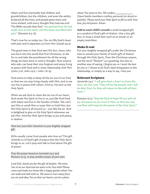Adam and Eve eventually had children and grandchildren, but the children, and even the adults, bickered all the time, and people grew more and more wicked, until every thought they had was evil. The Bible records that God "was grieved that He had made man on the earth, and His heart was filled with pain" (Genesis 6:5-6).

That's true for us today too. Our sin fills God's heart with pain and it separates us from Him (Isaiah 59:2).

The good news is that God sent His Son, Jesus, who was born into the world that first Christmas, to die for us and take the punishment for all the wrong things we have done or said or thought. Now anyone who asks can have their sins forgiven and enjoy living at peace with God and in close relationship with Him (John 3:16, John 14:6, 1 John 1:8-9).

God wants to help us keep all the sin out of our lives so that we can stay living closely with Him, and so we can live in peace with others. And so, He sent us the Holy Spirit.

When we ask God to clean the sin out of our heart, God sends His Spirit to live in us, just like God lived with Adam and Eve in the Garden of Eden. We can't see Him or smell Him or taste Him or hold Him, but the Holy Spirit is all around us – just like the air. God is delighted to give us His Holy Spirit whenever we ask Him. And the Holy Spirit brings us joy and peace, or shalom.

### *Now turn your kids' attention to your brightly wrapped gift.*

Gifts usually come from people who love us! This gift reminds us of God's gift of peace that the Holy Spirit brings to us. Let's pray and talk to God about His gift of peace.

*Pray this prayer based on Jeremiah 24:7 and Romans 15:13, or pray another prayer of your own:*

*Lord God, thank you for the gift of shalom. We want You to be our God and we want to be Your kids! Please come and make our home like a happy garden where You can walk and talk with us. We want to turn away from our sin and obey You so that our hearts can be a place* 

*where You want to live. We confess*  (have family members confess personal sin aloud or quietly)*. Please send your Holy Spirit to fill us with Your love, joy and peace. Amen.*

**Add to each child's wreath** a small wrapped gift as a symbol of God's gift of shalom. Use a tiny gift box, or wrap a small item such as an eraser or an empty matchbox.

## Make it real

Put your brightly wrapped gift under the Christmas tree to remind your family of God's gift of shalom through His Holy Spirit. Over the Christmas season, use the word "Shalom" as a greeting, but also as another way of saying, *I forgive you* or *I want the best for you* or *I choose to let God's Spirit bring peace to this relationship*, or simply as a way to say, *I love you.*

## Relevant Scripture

Jeremiah 24:7 "I will give them a heart to know Me, that I am the Lord. They will be My people, and I will be their God, for they will return to Me with all their heart."

Romans 15:13 "May the God of hope fill you with all joy and peace as you trust in Him, so that you may overflow with hope by the power of the Holy Spirit."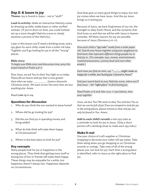# *Day 2: A lesson in joy*

**Theme:** Joy is found in Jesus – not in "stuff."

**Lead-in activity:** Make an interactive Nativity scene by dressing up dolls, teddy bears or other stuffed animals. (If you're short on time, you could instead set up a store-bought Nativity scene or simply examine a picture of the Nativity.)

Later in this lesson you'll need a drinking straw, and a spy glass for each child, made from a toilet roll tube. Together you'll go looking for joy in all the "wrong" places.

#### **Bible story:**

*To begin your Bible story and discussion time, pray this prayer based on Psalm 4:6-7:*

*Dear Jesus, we ask You to shine Your light on us today. Please fill our hearts with joy that is even greater than when we enjoy (name a favourite Christmas treat). We want to love You more than we love anything else. Amen.*

Read Luke 15:11-24.

### Questions for discussion

- 1. Why do you think the son wanted to leave home?
- 2. Where did he go looking for joy?
- 3. Did the son find joy in spending money and living wildly?
- 4. What do kids think will make them happy at Christmastime?
- 5. Where is the best place to look for joy?

### Key concepts

Many people look for joy or happiness in the wrong places. They think that getting more stuff or having lots of fun or friends will make them happy. These things may be enjoyable for a while, but happiness doesn't always last. Happiness depends on circumstances.

God does give us many good things to enjoy, but real joy comes when we have Jesus. And the joy Jesus brings us is lasting joy.

Because of Jesus, we have forgiveness of our sin, the strength to obey God's Word, and the certainty that God loves us and that we will be with Jesus in heaven someday. All these reasons for joy are possible because of Jesus (Romans 5:10-11).

*Give each child a "spy tube" made from a toilet paper roll. Search your house together using your spyglasses to find items that represent different things people try to find joy in. (For example, toys, money, entertainment, material possessions, yummy food and even other people.)*

*Each time you find an item, say "\_\_\_\_\_ might make us happy for a while, but lasting joy is found in Jesus!"*

*End your search back at your Nativity scene, where you'll find Jesus – the "right place" to find lasting joy.* 

*Read Psalm 21:6 and John 15:9-11 (see below), then pray together:*

*Jesus, we love You! We want to obey You and love You so that we can be full of joy! If we are tempted to look for joy in the wrong places, please remind us that real joy can only be found in You. Amen.*

**Add to each child's wreath** a mini spy tube as a reminder to look for joy in Jesus. (Snip a short portion off a drinking straw to make each spy tube.)

### Make it real

Use your choice of craft supplies or Christmas wrapping to decorate your toilet-roll spy tubes. Take them along when you go shopping or on Christmas errands or outings. Take note of all of the wrong places you can look for joy. Each time a wrong place is identified, refer to Jesus as the right place to find joy.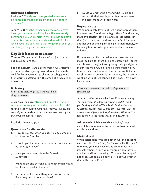### Relevant Scripture

Psalm 21:6 "Surely You have granted him eternal blessings and made him glad with the joy of Your presence."

John 15:9-11 "As the Father has loved Me, so have I loved you. Now remain in My love. If you obey My commands, you will remain in My love, just as I have obeyed My Father's commands and remain in His love. I have told you this so that My joy may be in you and that your joy may be complete."

## *Day 3: A lesson in courtesy*

**Theme:** We need say "I love you" not just in words, but in our actions too.

**Lead-in activity:** Take a break from your Christmas preparations by enjoying an outdoor activity in the cold (make a snowman, go skating or tobogganing), then warm up afterward with some hot chocolate or a warm bath.

#### **Bible story:**

*Pray this sample prayer to start your Bible story discussion:*

*Jesus, Your word says* "Dear children, let us not love with words or tongue but with actions and in truth" *(1 John 3:18). We don't want to just* say *we love people; we really want to* show *others that we love them by the things we say and do. Amen.* 

Read Matthew 12:34-37.

### Questions for discussion

- 1. How do you feel when you say hello to someone but they don't reply?
- 2. How do you feel when you try to talk to someone but they ignore you?
- 3. Have you ever been hit in the face with a snowball?
- 4. What might one person say to another that would be like a snowball in the face?
- 5. Can you think of something you can say that is like a cozy cup of hot chocolate?

6. Would you rather be a friend who is cold and harsh with their words, or a friend who is warm and comforting with their words?

### Key concepts

We communicate love to others when we treat them in a warm and friendly way (e.g., offer a friendly wave, make eye contact, say hello and express interest in them). On the other hand, we can be "cold" to one another by not smiling, by being less than friendly, or by failing to acknowledge someone else's presence or ideas.

If someone is unkind or makes a mistake, we can make life hard for them by being unforgiving – or we can choose to be gracious by being loving and gentle in our response. Cruel or unkind things that we say to others can hurt far more than we know. But when we show love in our words and actions, the "warmth" we share with others can feel like it goes right down inside them.

*Close your discussion time with this prayer, or a similar one:*

*Jesus, we believe You are God's son! We want to obey You and we want to love others like You do! Thank you for the good gift of Your Spirit. During this busy Christmas season, help us through Your Holy Spirit so others see and feel Your love through us. We want Your love to show in the things we say and do. Amen.*

**Add to each child's wreath** a Hershey's Kiss chocolate as a reminder to show love to others with words *and* actions.

### Make it real

While interacting with each other over the holidays, use terms like "cold," "icy" or "snowball in the face" to remind your kids how unkind communication impacts others. Affirm your children when they are gracious and kind by saying, "That felt like a cup of hot chocolate on a cold day," or "That was sweeter than a Hershey's Kiss."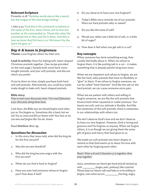### Relevant Scripture

Proverbs 12:18 "Reckless words pierce like a sword, but the tongue of the wise brings healing."

1 John 3:23 "And this is His command: to believe in the name of His Son, Jesus Christ, and to love one another as He commanded us. Those who obey His commands live in Him, and He in them. And this is how we know that He lives in us: We know it by the Spirit He gave us."

# *Day 4: A lesson in forgiveness*

**Theme:** Love forgives others for their sins.

**Lead-in activity:** Have fun baking soft, heart-shaped Christmas pretzels together. (See recipe provided on the next page.) Sample both some hard, storebought pretzels, and your soft pretzels, and discuss which you prefer.

If you're short on time, simply purchase both hard and soft pretzels. Alternatively, you could buy readymade dough to bake soft, heart-shaped pretzels.

### **Bible story:**

*Pray to start your discussion time. First read Ephesians 4:32, then pray along these lines:*

*Lord Jesus, the Bible says we should forgive each other, just as You forgave us. Sometimes this is hard, but we ask You to come and fill our hearts with Your love so we can love and forgive like You do. Amen.*

Read Matthew 18:21-35.

### Questions for discussion

- 1. In this story that Jesus told, what did the king do for the first servant?
- 2. Was the servant thankful?
- 3. Why did the king become angry with the first servant?
- 4. When do you find it hard to forgive?
- 5. Have you ever had someone refuse to forgive you? How does it feel?
- 6. Do you deserve to have your sins forgiven?
- 7. Today's Bible story reminds me of our pretzels. Were our hard pretzels salty or sweet?
- 8. Do you like the taste of salt?
- 9. Would you rather eat a little bit of salt, or a little bit of sugar?
- 10. How does it feel when you get salt in a cut?

### Key concepts

When someone has done something wrong, they usually feel badly about it. When we refuse to forgive them, it is like putting salt in a cut  $-$  it makes something that is already painful sting even more.

When we are impatient and refuse to forgive, we are like the hard, salty pretzels that have no flexibility or "give" to them. If we refuse to forgive someone, we can be called "hard-hearted." And like the salt on the hard pretzel, we can cause someone extra pain.

When we are patient with others and willing to forgive someone, we are like the soft pretzels that bounce back when squeezed or under pressure. Our hearts are soft, and our attitude is flexible. And like the sweetness of the soft pretzels, there is sweetness in our relationships with others too.

We don't deserve God's love and we don't deserve to have our sins forgiven. However, God is loving and gracious and He forgives us anyway. When we forgive others, it is as though we are giving them the same gift of grace and mercy that God gives to us.

We made our soft pretzels into heart shapes to remind us that God wants us to share His love with each other by forgiving each other.

*Read 1 Peter 4:8 and Colossians 3:13 together, then pray together:*

*Jesus, sometimes our hearts get hard and all twisted up with (anger, pain, jealousy) like a pretzel. Please keep our hearts soft and help us to be willing to forgive, even when we are (hurting, angry,*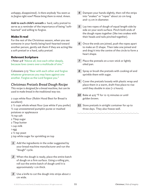*unhappy, disappointed). Is there anybody You want us to forgive right now? Please bring them to mind. Amen.*

**Add to each child's wreath** a hard, salty pretzel to serve as a reminder of the importance of being "softhearted" and willing to forgive.

### Make it real

For the rest of the Christmas season, when you see someone in your family being hard-hearted toward another person, gently ask them if they are acting like a soft pretzel or a hard, salty pretzel.

### Relevant Scripture

1 Peter 4:8 "Above all, love each other deeply, because love covers over a multitude of sins."

Colossians 3:13 "Bear with each other and forgive whatever grievances you may have against one another. Forgive as the Lord forgave you."

# *Christmas Pretzels Bread Dough Recipe*

*This recipe is designed for a bread machine, but can be used to make bread in the traditional way too.*

2 cups white flour (Robin Hood Best for Bread is excellent)

2 ½ cups whole wheat flour (use white if you prefer) ½ cup unsweetened pumpkin puree or mashed potatoes or applesauce

- ⅛ tsp salt
- 2 Tbsp sugar
- 2 Tbsp butter
- 1 cup milk
- 1 egg

 $2\frac{1}{2}$  tsp yeast

3 tsp white sugar for sprinkling on top

- **1** Add the ingredients in the order suggested by your bread machine manufacturer and run the "dough" cycle.
- *2* When the dough is ready, place the entire batch of dough on a firm surface. Using a rolling pin, roll out the entire batch of dough until it is approximately 1 cm thick.
- *3* Use a knife to cut the dough into strips about 2 cm wide.
- *4* Dampen your hands slightly, then roll the strips into "snakes" or "ropes" about 20 cm long and 1.5 cm in diameter.
- *5* Lay two ropes of dough of equal length side by side on your work surface. Pinch both ends of the dough ropes together (like two snakes with their heads and tails pinched together).
- *6* Once the ends are joined, push the ropes apart to make an O shape. Then take one joined end and drag it into the centre of the circle to form a heart shape.
- *7* Place the pretzels on a non-stick or lightly oiled pan.
- *8* Spray or brush the pretzels with cooking oil and sprinkle them with sugar.
- *9* Cover the pretzels loosely with plastic wrap and place them in a warm, draft-free place to rise until they double in size (1-2 hours).
- *10* Bake at 425 °F for 12-15 minutes or until golden brown.
- 11 Store pretzels in airtight container for up to three days. They also freeze well.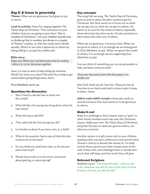# *Day 5: A lesson in generosity*

**Theme:** When we are generous, God gives us joy in return.

**Lead-in activity:** Have fun singing together *The Twelve Days of Christmas*. Then announce to your children that you are going to give them "the 12 candies of Christmas." Let your children decide how to divide up the 12 candies, but throw in a couple of "bonus" candies, so that the candy won't divide equally. Watch to see who is generous to others by being willing to accept the smaller pile.

#### **Bible story:**

*Begin your Bible story and discussion time by reading 1 John 3:15-17,20, then pray together:*

*Jesus, it is easy to want to keep things for ourselves. Would You teach us to share? We need You to help us get excited about giving things away. Amen.*

Read Matthew 19:16-30.

### Questions for discussion

- 1. Was it hard to decide how to share out the candy?
- 2. What did the rich young man brag about when he met Jesus?
- 3. What did Jesus tell him?
- 4. Then what did the rich young man do?
- 5. Is it harder to share if you have a lot, or a little?
- 6. What is the question Santa asks all the kids who come to sit on his knee?
- 7. Do you think you *need* more toys, or do you just *want* more toys?
- 8. Would Jesus want us to be more concerned about getting, or about giving?

### Key concepts

The song that we sang, *The Twelve Days of Christmas,* goes on and on about the gifts someone got for Christmas. But God wants us to focus not on what we can *get*, but on what we can *give* to others. He wants us to care for the needs of others, especially those who have less than we do. He also promises to bless those who take care of others.

When we are generous, it honours God. When we are good to others, it is as though we are being good to God (Matthew 25:40). When we ignore the needs of others, it is as though we are neglecting God (Matthew 25:45).

Can you think of something you can do personally to help and bless someone else?

*Close your discussion time with this prayer, or a similar one:*

*Dear God, thank you for Your love. Please put lots of Your love in our hearts and teach us how to give it away to others. Amen.*

**Add to each child's wreath** a favourite candy to remind everyone that God wants us to be generous to others.

### Make it real

Make it a challenge to find creative ways to "give" to other family members each day over the Christmas season. Make your own *The Twelve Days of Christmas* song that focuses on what you gave to others, not what you received.

Another option is to gift some cash to your children (perhaps they can earn a little extra too) and let them choose a charity to donate the money to. To really stretch them, permit your kids to keep some of the cash if they wish, and challenge them to decide how much they will keep, and how much they will give.

### Relevant Scripture

Matthew 25:40 "The King will reply, 'I tell you the truth, whatever you did for one of the least of these brothers of mine, you did for Me.' "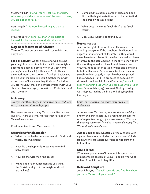Matthew 25:45 "He will reply, 'I tell you the truth, whatever you did not do for one of the least of these, you did not do for Me.' "

Acts 20:35b "It is more blessed to give than to receive."

Proverbs 22:9 "A generous man will himself be blessed, for he shares his food with the poor."

# *Day 6: A lesson in obedience*

**Theme:** To love Jesus means to listen to Him and obey Him.

**Lead-in activity:** Go for a drive or a walk around your neighbourhood to admire the Christmas lights decorating people's homes. When you get home, play a game of Flashlight Hide and Seek. Hide in a darkened room, then turn on a flashlight beside you to help your children find you. Smother them with expressions of love when they find you! Each time you are "found," share one of these verses with your children: Jeremiah 29:13, John 8:12, 2 Corinthians 4:6 and 1 John 1:5.

#### **Bible story:**

*To begin your Bible story and discussion time, read John 14:21, then pray this sample prayer:*

*Dear Jesus, we want to obey You to show You that we love You. Thank you for promising to love us and show Yourself to us. Amen.* 

Read Luke 2:4-18 and Matthew 2:1-2.

### Questions for discussion

- 1. What kind of birth announcement did God send when Jesus was born?
- 2. How did the shepherds know where to find baby Jesus?
- 3. How did the wise men find Jesus?
- 4. What kind of announcement do you think the Christmas lights in our neighbourhood are making?
- 5. Compared to a normal game of Hide and Seek, did the flashlight make it easier or harder to find the person who was hiding?
- 6. What does it mean to "seek God" or to "seek Jesus"?
- 7. Does Jesus want to be found by us?

### Key concepts

Jesus is the light of the world and He wants to be found by everyone! If the shepherds had ignored the angel's announcement of Jesus' birth, they would never have found Jesus. If the wise men had not been attentive to the star God put in the sky to show them the way, they would not have found Jesus either. We, too, need to listen to God's voice and be willing to follow His leading in our lives. God wants us to search for Him eagerly – just like when we played Hide and Seek – and He promises to be found by those who look for Him! His Word says, "You will seek Me and find Me when you seek Me with all your heart" (Jeremiah 29:13). We seek God by praying, worshipping, reading the Bible and obeying what God says.

*Close your discussion time with this prayer, or a similar one:*

*Jesus, we know You love us, because You were willing to be born on Earth to help us. It's Your birthday and we want to give You the gift of our love in return. We know that loving You means listening to You and obeying You. We want to do that. Amen.*

**Add to each child's wreath** a birthday candle with a paper flame as a reminder that Jesus doesn't hide from anyone; He wants everyone to find Him and follow Him.

### Make it real

Whenever you admire Christmas lights, use it as a reminder to be seekers of Jesus – people who want to hear from Him and obey Him.

### Relevant Scripture

Jeremiah 29:13 "You will seek Me and find Me when you seek Me with all your heart."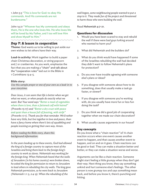1 John 5:3 "This is love for God: to obey His commands. And His commands are not burdensome."

John 14:21 "Whoever has My commands and obeys them, He is the one who loves Me. He who loves Me will be loved by My Father, and I too will love Him and show Myself to Him."

# *Day 7: A lesson in cooperation*

**Theme:** God wants us to be willing to put aside our own wishes to let others have their way.

**Lead-in activity:** Work together to build a paper chain Christmas decoration, or string popcorn and / or cranberries. As you work, emphasize the fact that you are making a "chain" and talk about the "cooperation rules" laid out in the Bible in 1 Corinthians 13:4-5.

### **Bible story:**

*Use this sample prayer or one of your own as a lead-in to your storytime:*

*Dear Jesus, it can seem that life is better when we get what we want, or when people do exactly what we want. But Your word says "Better a meal of vegetables where there is love, than a fattened calf with hatred" (Proverbs 15:17) and "Better a dry crust with peace and quiet than a house full of feasting, with strife" (Proverbs 17:1). Thank you for that reminder. We'd rather have very little, but live together in love and peace, than have a fancy home where there's lots of squabbling and people insisting on getting their own way. Amen.*

*Before reading the Bible story, share this background information:*

*In the years leading up to these events, God had allowed the king of a foreign country to capture most of the Israelites and bring them back to the foreign king's country to work as slaves. Nehemiah was working for the foreign king. When Nehemiah heard that the walls of Jerusalem (in his home country) were broken down, he asked the king for permission to return to Jerusalem to lead others in rebuilding the city walls. The king gave Nehemiah permission, so he went back to Jerusalem (Nehemiah 1:1-3, 2:4-9). When the rebuilding of the* 

*wall began, some neighbouring people wanted to put a stop to it. They made fun of the project and threatened to harm those who were building the wall.*

Read Nehemiah 4:7-21.

### Questions for discussion

- 1. Would you have been scared to stay and rebuild the wall if there were bad guys lurking around who wanted to harm you?
- 2. What did Nehemiah and the builders do?
- 3. What do you think would have happened if some of the Israelites rebuilding the wall had decided they didn't want to follow Nehemiah's plans for protection?
- 4. Do you ever have trouble agreeing with someone else's plans or ideas?
- 5. If you disagree with someone about how to do something, does that usually make a task go faster, or slower?
- 6. If you disagree with someone you're working with, do you usually have more fun or less fun doing the task?
- 7. Do you think we did a good job of cooperating together when we made our chain decoration?
- 8. What usually causes arguments in our house?

### Key concepts

Do you know what a "chain reaction" is? A chain reaction occurs when one event causes another event to happen, and that causes another event to happen, and on and on it goes. Chain reactions can be good or bad. They can make a situation better and better, or they can make a situation worse and worse.

Arguments can be like a chain reaction. Someone might start feeling a little grumpy when they don't get their way. Next thing you know, they say something unkind and hurt someone else's feelings. The other person is now grumpy too and says something mean back, and before you know it, there's punching and hitting.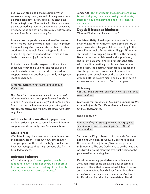But love can stop a bad chain reaction. When someone's being mean, instead of being mean back, a person can show love by saying, *You seem a bit frustrated right now. How can I help?* Or when you are playing or working together, a person can show love by cooperating and saying, *I can see you really want to try your idea. Let's try it your way first.*

Love can start a good chain reaction of its own too. When we are loving toward others, it can help them be more loving. And love can start a chain of other good reactions as well. Being loving can lead to others being more patient and kind, which in turn leads to peace and joy in our home.

In the hustle and bustle busyness of the holiday season, it's easy to be unkind, and for bad chain reactions to break out. Let's work extra hard to cooperate with one another so that only loving chain reactions happen.

*Close your discussion time with this prayer, or a similar one:*

*Dear Lord Jesus, we want our home to be decorated with the wisdom that comes from heaven, just like in James 3:17. Please send your Holy Spirit to give us Your love so that we can be peace-loving, kind, thoughtful, fair, quick to forgive and willing to let others have their way. Amen.*

**Add to each child's wreath** a tiny paper chain made of strips of paper, to remind your children to cooperate and start only loving chain reactions.

### Make it real

Watch for loving chain reactions in your home over the holiday season. Point out how someone, for example, gave another child the bigger cookie, and how that loving act of putting someone else first, in turn, led to peace.

### Relevant Scripture

1 Corinthians 13:4-5 "Love is patient, love is kind. It does not envy, it does not boast, it is not proud. It is not rude, it is not self-seeking, it is not easily angered, it keeps no record of wrongs."

James 3:17 "But the wisdom that comes from above is first of all pure; then peace-loving, considerate, submissive, full of mercy and good fruit, impartial and sincere."

# *Day 8: A lesson in kindness*

**Theme:** Kindness is "love in action"

**Lead-in activity:** Read together the book *Because Brian Hugged His Mother*, or create a similar story of your own and involve your children in adding to the story. For example, *Because Brian Hugged His Mother* starts with a boy hugging his mother in the morning. Because the mother felt loved and appreciated, she in turn did something kind for someone else, who then did something kind for another person. In the story, the postman felt pleased because the storekeeper noticed how efficient he was. The postman then complimented the baker when he dropped off the baker's mail. The baker then gave a woman some extra bread to feed to her pets.

#### **Bible story:**

*Use this sample prayer or one of your own as a lead-in to your storytime:*

*Dear Jesus, You are kind and You delight in kindness! We want to be just like You. Please show us who needs our kindness today. Amen.* 

### Read 2 Samuel 9.

*Prior to reading this story, give a brief history of who Jonathan was and the friendship between David and Jonathan:*

Saul was the King of Israel. Unfortunately, Saul was not a king who pleased God, so God chose to give the honour of being the king to another person (1 Samuel 15). The one God chose to be the next king was David, a young man who eventually came to the palace to live with King Saul.

David became very good friends with Saul's son Jonathan. After some time, King Saul became so jealous of David that he wanted to kill him. Even so, Jonathan remained David's best friend. Jonathan even gave up his position as the next king of Israel for David, and he risked his life to defend David.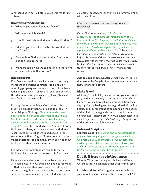Jonathan died in battle before David was made king of Israel.

### Questions for discussion

- 1. What do you remember about David?
- 2. Who was Mephibosheth?
- 3. How did David show kindness to Mephibosheth?
- 4. What do you think it would be like to eat at the king's table?
- 5. Do you think God was pleased that David was kind to Mephibosheth?
- 6. What are some ways we can be kind to those who are less fortunate than we are?

## Key concepts

King David wanted to show kindness to the family members of his friend Jonathan. He did this by returning property and honour to one of Jonathan's remaining relatives – Jonathan's son Mephibosheth. David honoured Mephibosheth by having him eat with David at his own table.

In many places in the Bible, God makes it clear that He is pleased when we are kind to others. In Jeremiah 9:24 God says, "But let him who boasts boast about this: that he understands and knows Me, that I am the Lord who exercises kindness, justice and righteousness on the earth, for in these I delight." One of the wonderful things about showing kindness to others, is that we can start a kindness "chain reaction" just like we talked about in the story *Because Brian Hugged His Mother*. Our kindness makes others feel so good, they often go on to show kindness to others in special ways.

Let's decide on something we can do to start a kindness chain reaction of our own this Christmas!

Here are some ideas – or you may like to come up with some ideas of your own: bake goodies for Mom or Dad to share at their workplace, shovel snow to surprise a neighbour, give simple gifts to those who serve in the community (e.g. store clerks, waste

collectors, custodians) or even help a family member with their chores.

*Close your discussion time with this prayer, or a similar one:*

*Father God, Your Word says "Be kind and compassionate to one another, forgiving each other, just as in Christ God forgave you. Be imitators of God, therefore, as dearly loved children and live a life of love, just as Christ loved us and gave Himself up for us as a fragrant offering and sacrifice to God." Thank you for calling us Your dearly loved children! We want to be just like Jesus and share kindness, compassion and forgiveness with everyone. May the things we do to show kindness this Christmas season start a kindness chain reaction that goes on and on to bless many people. Amen.*

**Add to each child's wreath** a small angel to remind that we can be "angels of encouragement" when we show kindness to others.

# Make it real

All through the holiday season, affirm your kids when they go out of their way to be kind to others. Model kindness yourself, by asking a store clerk how their day is going, by letting someone go ahead of you in a lineup, or by complimenting someone on the quality of their help. You might also wish to read to your children Leo Tolstoy's story *The Old Shoemaster* (also called *Papa Panov's Special Christmas*). Many versions of this story are available online.

# Relevant Scripture

Ephesians 4:32-5:2 "Be kind and compassionate to one another, forgiving each other, just as in Christ God forgave you. Be imitators of God, therefore, as dearly loved children and live a life of love, just as Christ loved us and gave Himself up for us as a fragrant offering and sacrifice to God."

# *Day 9: A lesson in righteousness*

**Theme:** When we make good choices and live a Christlike life, we can help other people find Jesus.

**Lead-in activity:** Work together to hang lights on your Christmas tree. Admire the tree with the lights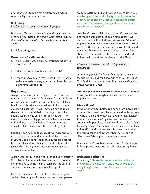off, then watch to see what a difference it makes when the lights are turned on.

### **Bible story:**

*Read John 8:12, then pray this sample prayer:*

*Dear Jesus, You are the light of the world and You want us to help You light up the world. Please teach us how to shine so that we can help other people find You, Jesus. Amen.* 

Read Genesis 39:1-6a.

### Questions for discussion

- 1. When Joseph was a slave for Potiphar, what was Joseph's job?
- 2. What did Potiphar notice about Joseph?
- 3. Joseph made choices that pleased God. If Joseph had made bad choices, how do you think his story might have turned out?

### Key concepts

Joseph didn't always live in Egypt. He was born in the land of Caanan into a family who feared God. He was Abraham's great grandson, and the son of Jacob. But Joseph's brothers were jealous of him, and one day they did something evil: they sold him to some slave traders and told their father that Joseph had been killed by a wild animal. Joseph was taken far away, to the land of Egypt, where he became a slave to Potiphar, one of the Pharaoh's most important officials. (The Pharaoh was the ruler of Egypt.)

Potiphar soon noticed that Joseph was wise and very trustworthy. But more than that, Potiphar noticed that God was blessing Potiphar's household because God was pleased with Joseph. Joseph's choices to please God (his righteousness) became obvious to everyone around him.

Joseph went through some hard times, but eventually God blessed him so much that he rose from being a humble slave to being the Pharaoh's trusted assistant and the second in command of all of Egypt.

God wants us to be like Joseph: to make such good choices that people will notice that we love to please

God. In Matthew 5:14 and 16, God's Word says "You are the light of the world. A city on a hill cannot be hidden. In the same way, let your light shine before men, that they may see your good deeds and praise your Father in heaven."

Just like Christmas lights light up our Christmas tree and make people notice it much more readily, we can help people find their way to Jesus by "shining" brightly for Him. Jesus is the light of the world. When we live with Jesus in our hearts, our love for Him and our good choices can also be a light to others. We shine best when we love others like Jesus did and follow the instructions He gives us in the Bible.

*Close your discussion time with this prayer, or a similar one:*

*Jesus, many people feel lost and empty inside and are looking for You, and You know who they are. Please put Your Spirit in us so we can shine like You do and help lost people find You. Amen.*

**Add to each child's wreath** a star or a lightbulb from a string of Christmas lights to inspire you to shine brightly for Jesus.

### Make it real

Print out the verses below and hang them individually on your Christmas tree. Have your children take turns finding a verse and bringing it to you to read. Explain that all the verses are "righteousness rules" that Jesus taught people to show them how to please God by loving others. As you read the verses, ask your kids to identify the righteousness rule in each one. Keep the verses handy and refer to them as you aim to "live in love" throughout the holiday season:

Matthew 22:36-40, Matthew 6:14-15, Matthew 19:19 Luke 6:31 , Matthew 5:43-44 , Matthew 6:2-3, Mark 9:35.

### Relevant Scripture

Daniel 12:3 "Those who are wise will shine like the brightness of the heavens, and those who lead the many to righteousness, like the stars for ever and ever."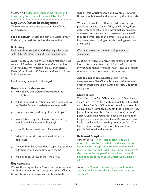Matthew 5:6 "Blessed are those who hunger and thirst for righteousness, for they will be filled."

### *Day 10: A lesson in acceptance*

**Theme:** Acceptance means sharing Jesus' love with *everyone.*

**Lead-in activity:** Watch the movie *A Charlie Brown Christmas*, or read the book of the same title.

### **Bible story:**

*Begin your Bible story time with this prayer based on Acts 10:34-36, John 13:34 and 1 Thessalonians 4:9:*

*Jesus, You are Lord of all. We are not perfect people, yet we are still loved by You! We want to share Your love with everyone, even when they are less than perfect. Please fill our hearts with Your love and teach us to love like You do! Amen.* 

Read Luke 19:1-10 and 1 John 2:5-6.

### Questions for discussion

- 1. Why do you think Charlie Brown liked the scruffy tree?
- 2. What things did the other Peanuts characters say to Charlie Brown to make him feel rejected?
- 3. Has anyone ever said things like that to you?
- 4. In our Bible story, Zacchaeus was rejected by people too. Do you remember why?
- 5. How did Jesus show love to Zacchaeus?
- 6. What do other kids sometimes do that you don't like?
- 7. Do you think Jesus would be happy to go to those kids' homes and spend time with them?
- 8. Who does Jesus love more me or you?

### Key concepts

We like the story *A Charlie Brown Christmas* because it's about compassion and accepting others. Charlie Brown showed kindness and acceptance to the

shabby little Christmas tree and eventually Charlie Brown, too, felt loved and accepted by the other kids.

We share Jesus' love with others when we accept people as they are – even if they smell funny, dress differently or speak or act in ways that seem a little odd to us. Jesus wants us to love everyone, even if they are a little "less than perfect" in our eyes. An important part of loving others is treating everyone as valuable.

*Close your discussion time with this prayer, or a similar one:*

*Jesus, when we feel unloved, please remind us that You love us. Please send Your Holy Spirit to help us to love everyone like You do. We want to say "I love you" both in words and in the way we treat others. Amen.*

**Add to each child's wreath** a sprig from an evergreen tree (like Charlie Brown's tree) to remind everyone that although we aren't perfect, God loves us anyway.

### Make it real

Try to find a "perfect" Christmas tree. (If you have an artificial tree, go for a walk and look for a tree that could be a "perfect" Christmas tree.) As you search, discuss how it is impossible to find the "perfect" tree, just as it is impossible to find (or to be) a "perfect" person. Challenge your kids to keep their eyes open for people who are like the Charlie Brown tree – less likely to be loved because they are not perfect. Ask God to help you figure out a way to make those people feel loved and accepted.

### Relevant Scripture

Acts 10:34-36 "Then Peter began to speak: 'I now realize how true it is that God does not show favoritism but accepts men from every nation who fear Him and do what is right. You know the message God sent to the people of Israel, telling the good news of peace through Jesus Christ, who is Lord of all.'"

John 13:34 "A new command I give you: Love one another. As I have loved you, so you must love one another."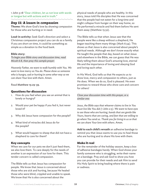1 John 3:18 "Dear children, let us not love with words or tongue but with actions and in truth."

# *Day 11: A lesson in compassion*

**Theme:** We show God's love by showing compassion for those who are hurting or in need.

**Lead-in activity:** Seek God's direction and select a Christmas compassion project you can do as a family. If you are short on time, it could be something as simple as a donation to the food bank.

#### **Bible story:**

*To begin your Bible story and discussion time, read Micah 6:8, then pray this sample prayer:*

*Heavenly Father, we want to walk humbly with You. We want to love mercy as You do. Please show us someone who is hungry, sad or hurting in some other way so we can share Your love with them. Amen.*

Read Matthew 15:29-39.

### Questions for discussion

- 1. How do you feel when you see an animal that is lonely or hungry?
- 2. Would your pet be happy if you fed it, but never loved it?
- 3. Why did Jesus have compassion for the people?
- 4. What kind of miracles did Jesus do for the people?
- 5. What would happen to sheep that did not have a shepherd to care for them?

### Key concepts

When we care for our pets we don't just feed them, we also love them. To care deeply for the needs of another is an expression of our love for them. This tender concern is called compassion.

The Bible tells us that Jesus has compassion for people. We know that Jesus is concerned about those who are sick and hurting, because He healed those who were blind, crippled and unable to speak. We know that He is also concerned about the

physical needs of people who are healthy. In this story, Jesus told His disciples that He was concerned that the people had not eaten for a long time and might collapse from hunger on their way home, so He performed a miracle and fed them before He sent them away (Matthew 15:32).

The Bible tells us that when Jesus saw that the people were like a sheep without a shepherd, He began teaching them many things (Mark 6:34). This shows us that Jesus is also concerned about people's spiritual needs. Although we don't know exactly what He taught the people that day, based on what Jesus said elsewhere in the Bible, we can guess that He was likely telling them about God's amazing love, eternal life and the importance of loving and obeying God and loving each other.

In His Word, God tells us that He expects us to show love, mercy and compassion to others, just as He does. When we do so, God is pleased. He even promises to reward those who show care and concern for others!

### *Close your discussion time with this prayer, or a similar one:*

*Jesus, the Bible says that whoever claims to live in You must live like You did (1 John 2:5). We want to have eyes to see those who are hurting, hands that are gentle like Yours, hearts that are caring, and feet that are willing to go where You send us. Thank you for living in us so that we can share Your love with others. Amen.*

**Add to each child's wreath** an adhesive bandage to remind you that Jesus wants to use you to heal those who are hurting and to share His love with them.

### Make it real

For the remainder of the holiday season, keep a box of adhesive bandages handy. When God shows your family someone who is struggling, write their name on a bandage. Pray and ask God to show you how you can provide for their needs and ask Him to send His Holy Spirit to bring healing where there is pain or sadness.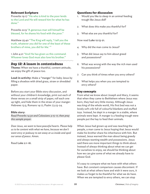### Relevant Scripture

Proverbs 19:17 "He who is kind to the poor lends to the Lord and He will reward him for what he has done."

Proverbs 22:9 "A generous man will himself be blessed, for he shares his food with the poor."

Matthew 25:40 "The King will reply, 'I tell you the truth, whatever you did for one of the least of these brothers of mine, you did for Me.'"

1 John 4:21 "And He has given us this command: Whoever loves God must also love his brother."

#### *Day 12: A lesson in contentedness*

**Theme:** When we have a thankful, content attitude, we enjoy the gift of peace too.

**Lead-in activity:** Make a "manger" for baby Jesus by filling a shoebox with dried grass, straw or shredded paper.

Before you start your Bible story discussion, and without your children's knowledge, print out each of these verses on a small strip of paper, roll each one up tight, and hide them in the straw of your manger: Hebrews 13:5; Romans 14:17; Psalm 73:23-24.

#### **Bible story:**

*Read Proverbs 14:30 and Colossians 3:15-17, then pray this sample prayer:*

*Dear Jesus, we want to have peaceful hearts. Please help us to be content with what we have, because we don't want envy or jealousy to eat away at us inside and spoil our sense of peace. Amen.* 

Read Luke 2:1-16.

#### Questions for discussion

- 1. Would you like to sleep in an animal feeding trough like Jesus did?
- 2. What does this make you thankful for?
- 3. What else are you thankful for?

Now read Luke 12:13-21.

- 4. Why did the man come to Jesus?
- 5. What did Jesus say to him about greed and possessions?
- 6. What was wrong with the way the rich man used his possessions?
- 7. Can you think of times when you envy others?
- 8. What helps you when you are tempted to envy others?

#### Key concepts

From what we know about Joseph and Mary, it seems that when they came to Bethlehem where Jesus was born, they had very little money. Although Jesus was king of the whole world, His first bed was not a lovely soft crib full of colourful blankets and stuffed toys. Instead, he slept in a manger in a stable, where animals were kept. A manger is a feeding trough were people put the hay to feed their animals.

When Jesus had grown up and was teaching the people, a man came to Jesus hoping that Jesus would make his brother share his inheritance with him. But instead, Jesus warned the man about being greedy and always wanting wealth and possessions. Jesus said there are more important things to think about. Instead of always thinking about what we can *get*  for ourselves to enjoy, we should be thinking about how we can *give* some of what we already have to please God.

It's easy to compare what we have with what others have. But constant comparison causes discontent. If we look at what others have and wish it were ours, it makes us forget to be thankful for what we do have. When we are tempted to envy others, we can stop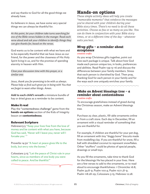and say thanks to God for all the good things we already have.

As believers in Jesus, we have some very special things we can always be thankful for.

*At this point, let your children take turns searching for one of the Bible verses hidden in the manger. Read each verse aloud and ask your children to identify things they can give thanks for, based on the verses.*

God wants us to be content with what we have and to be especially thankful that we have Jesus as our friend, for the power and the closeness of His Holy Spirit living in us, and for the promise of spending eternity in heaven with Him.

*Close your discussion time with this prayer, or a similar one:*

*Jesus, thank you for promising to be with us always. Please help us find such great joy in being with You that we forget to want other things. Amen.*

**Add to each child's wreath** a miniature bundle of hay or dried grass as a reminder to be content.

### Make it real

Play the "contentedness challenge" game from the **hands-on options** section of the Kids of Integrity lesson on **contentedness**.

### Relevant Scripture

Hebrews13:5 "Keep your lives free from the love of money and be content with what you have, because God has said, 'Never will I leave you; never will I forsake you.'"

Proverbs 14:30 "A heart at peace gives life to the body, but envy rots the bones."

Colossians 3:15 "Let the peace of Christ rule in your hearts, since as members of one body you were called to peace. And be thankful."

σ

# Hands-on options

*These simple activity ideas will help you create "memorable moments" that reinforce the messages you've shared with your children during your Bible story times. There's no need to do all these activities. Choose as few or as many as you like. You can do them in conjunction with your Bible story times, or at a different time of the day – whatever suits you best.*

# *Wrap gifts – a reminder about acceptance*

*creative crafts*

As you wrap Christmas gifts together, point out how each package is unique. Talk about how God made each person unique too, in looks, preferences and abilities. Read Psalm 139:13-16 and discuss the differences between your family members. Stress that each person is cherished by God. Then pray, thanking God for each person in your family and for the ways each one uniquely enriches your family.

### *Make an Advent blessings tree – a reminder about contentedness creative crafts*

To encourage gratefulness instead of greed during the Christmas season, make an Advent blessings tree.

Purchase 25 clear, plastic, fill-able ornaments online or from a craft store. Each day in December, fill an ornament with a visual reminder of something that you are thankful for.

For example, if children are thankful for your pet dog, fill an ornament with tiny "doggy bone" biscuits made from modelling clay. If you are thankful for snow, fill a ball with shredded coconut to represent snowflakes. Other "stuffers" could be photos of special people, drawings or small toys.

As you fill the ornaments, take time to thank God for the blessings He has placed in your lives. Here are a few verses to add to the ornaments, or to read aloud to encourage thankfulness: 1 Chronicles 16:8; Psalm 34:8-9; Psalm 100:4; Psalm 107:1,8-9; Psalm 118:28-29; Colossians 3:15; Hebrews 12:28.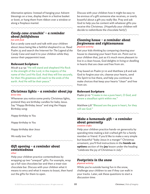*Alternative options:* Instead of hanging your Advent blessings on a tree, display them in a festive basket or bowl, or hang them from ribbon over a window or along a fireplace mantel.

#### *Candy cane crunchin' – a reminder about faithfulness fun with food*

Eat a candy cane each and talk with your children about Jesus being like a faithful shepherd to us. Read Psalm 23 and search the Internet for *The Legend of the Candy Cane* and read it to your children while they savour their peppermint treat.

### Relevant Scripture

Micah 5:4-5a "He will stand and shepherd His flock in the strength of the Lord, in the majesty of the name of the Lord His God. And they will live securely, for then His greatness will reach to the ends of the earth. And He will be their peace."

# *Christmas lights – a reminder about joy*

*drive time*

Whenever you notice some pretty Christmas lights, pretend they are birthday candles for baby Jesus. Say "Happy Birthday Jesus" and sing the Happy Birthday song:

*Happy birthday to You*

*Happy birthday to You*

*Happy birthday dear Jesus*

*We really love You!*

# *Gift opening – a reminder about contentedness*

#### *other*

Help your children practice contentedness by wrapping up two "unequal" gifts. For example, wrap up a full-size chocolate bar and then a treat-size chocolate bar. Discuss with your children what it means to envy and what it means to boast, then hand out the gifts for them to open.

Discuss with your children how it might be easy to be envious of a gift someone else receives, or overly boastful about a gift you really like. Pray and ask God to help you be content with whatever gifts you receive this Christmas. (Hopefully your children will decide to redistribute the chocolate fairly!)

### *Cleaning house – a reminder about forgiveness and righteousness physical activity*

Get your kids thinking by comparing cleaning your house to cleansing your heart from sin. Point out to your children that, just as it's much more pleasant to live in a clean house, God delights in living or dwelling in hearts that are clean and free from sin.

Pray based on Psalm 51:10 and Matthew 5:8 and ask God to forgive your sin, cleanse your hearts, send His Spirit to live there, and help you continue to make choices that keep your hearts "clean" and free from sin.

## Relevant Scripture

Psalm 51:10 "Create in me a pure heart, O God, and renew a steadfast spirit within me."

Matthew 5:8 "Blessed are the pure in heart, for they will see God."

# *Make a homemade gift – a reminder about generosity*

*creative crafts*

Help your children practice hands-on generosity by spending time making a kid-crafted gift for a family member or friend. If you'd like to make a very simple but beautiful "baby Jesus in a manger" Christmas ornament, you'll find instructions in the **hands-on options** section of the **joy** lesson under the heading "celebrate the joy of Christmas in July."

# *Footprints in the snow*

#### *physical activity*

While you're outside having fun in the snow, challenge your children to see if they can walk in your tracks. Later, ask these questions to start a discussion time: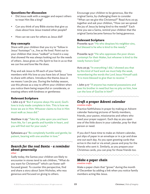### Questions for discussion

- Did Jesus walk with a swagger and expect others to treat Him like a king?
- Can you think of any Bible stories that give us clues about how Jesus treated other people?
- How can we care for others as Jesus did?

# Key concepts

Share with your children that you try to "follow in Jesus' footsteps" i.e., live as He lived. Point out to your children that Jesus "walked" or lived in a way that showed He was always looking out for the needs of others. Jesus gives us His Spirit to live in us so that we can live and love like He does.

Pray and ask Jesus to fill each of your family members with His love so you have *lots* of Jesus' love to share with others. Introduce the theme *Jesus in me means I care for you*. During the holiday season, use this phrase as a way to affirm your children when you notice them being respectful or considerate, or treating others with kindness or gentleness

# Relevant Scripture

1 John 2:5-6 "But if anyone obeys His word, God's love is truly made complete in him. This is how we know we are in Him: Whoever claims to live in Him must walk as Jesus did."

Matthew 11:29 "Take My yoke upon you and learn from Me, for I am gentle and humble in heart, and you will find rest for your souls."

Ephesians 4:2 "Be completely humble and gentle; be patient, bearing with one another in love."

# *Search for the real Santa - a reminder about generosity*

### *other*

Sadly today, the Santas your children are likely to encounter in stores tend to ask children, "What do you want for Christmas?" which can foster selffocused greed. To counter this perspective, find and share a story about Saint Nicholas, who was generous and focused on giving to others.

Encourage your children to be generous, like the original Santa, by challenging them to consider "What can we *give* this Christmas?" Read Acts 20:35 together and ask your children, "How can we spread the joy of Jesus by being kind to the needy?" Each time you see a Santa, remind your children that the original Santa became famous for being generous.

# Relevant Scripture

Proverbs 14:21 "He who despises his neighbor sins, but blessed is he who is kind to the needy."

Proverbs 14:31 "He who oppresses the poor shows contempt for their Maker, but whoever is kind to the needy honors God."

Acts 20:35 "In everything I did, I showed you that by this kind of hard work we must help the weak, remembering the words the Lord Jesus Himself said: 'It is more blessed to give than to receive.' "

1 John 3:17 "If anyone has material possessions and sees his brother in need but has no pity on him, how can the love of God be in him?"

# *Craft a prayer Advent calendar creative crafts*

Practice faithfulness in prayer by making an Advent calendar featuring pictures of family members, friends, your pastor, missionaries and others who need your prayer support. Each day as you open one of the little doors in your calendar, pray for that person or need.

If you don't have time to make an Advent calendar, put slips of paper in an envelope or in a jar and draw one out each day. As you open greeting cards that arrive in the mail or via email, pause and pray for the friends who sent it. Similarly, as you prepare your Christmas cards, you can pray for those friends too.

### *Make a paper chain creative crafts*

Make a paper chain that "grows" during the month of December by adding a link when you notice family members acting like Jesus.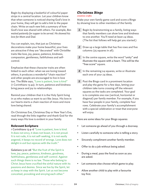Begin by displaying a basketful of colourful paper strips in a central location. Let your children know that when someone is noticed sharing God's love in your home, they will get to add a link to the paper chain. Write on each new link a summary of how God's love was shared with others. For example, *Ben waited patiently for supper to be served. He showed his love for Mom and Dad.* 

You can explain, too, that just as Christmas decorations make your home beautiful, your lives are attractive if they are "decorated" with Christlike traits like love, joy, peace, patience, kindness, compassion, gentleness, faithfulness and selfcontrol.

Emphasize that these character traits are often linked to each other: when we are loving toward others, it produces a wonderful "chain reaction" and other people are encouraged to live in love too. The Bible says, "Love is patient, love is kind" (1 Corinthians 13:4a). In turn, patience and kindness bring peace and joy to relationships.

Remind your children that it is the Holy Spirit living in us who makes us want to act like Jesus. His love in our hearts starts a chain reaction of more and more love being shared.

On Christmas Eve, Christmas Day or New Year's Eve, read through the links together and thank God for the many ways His love is evident in your family.

### Relevant Scripture

1 Corinthians 13:4-6 "Love is patient, love is kind. It does not envy, it does not boast, it is not proud. It is not rude, it is not self-seeking, it is not easily angered, it keeps no record of wrongs. Love does not delight in evil but rejoices with the truth."

Galatians 5:22-26 "But the fruit of the Spirit is love, joy, peace, patience, kindness, goodness, faithfulness, gentleness and self-control. Against such things there is no law. Those who belong to Christ Jesus have crucified the sinful nature with its passions and desires. Since we live by the Spirit, let us keep in step with the Spirit. Let us not become conceited, provoking and envying each other."

# *Christmas Bingo*

#### *creative crafts*

Make your own family game card and score a Bingo by showing love to other members of the family.

- **1** Begin by brainstorming as a family, listing ways that family members can show love and kindness to one another. You'll need at least 24 ideas. (The list that follows will help get you started.)
- 2 Draw up a large table that has five rows and five columns (25 squares in all).
- *3* In the centre square, write the word "unity" and illustrate the square with a heart. This will be the "free score" square.
- *4* In the remaining 24 squares, write or illustrate each one of your 24 ideas.
- **5** Post the Bingo card in a prominent location and play the game for a few days, letting your children take turns crossing off the relevant squares as the tasks are completed. Your goal is to complete one row (vertical, horizontal or diagonal) per family member. For example, if you have four people in your family, complete four rows. Celebrate your family's accomplishment with a special celebration or treat that everyone will enjoy.

Here are some ideas for your Bingo squares:

- Let someone go ahead of you through a doorway.
- Listen carefully to someone who is telling a story.
- Sincerely compliment another family member.
- Offer to do a job without being asked.
- During a meal, pass the food as soon as you are asked.
- Let someone else choose which game to play.
- Allow another child to play with a favourite toy first.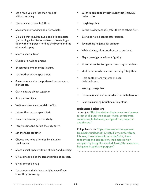- Eat a food you are less than fond of without whining.
- Plan or make a meal together.
- See someone working and offer to help.
- Do a job that requires two people to complete (i.e. folding a blanket or a sheet, or sweeping a floor with one person holding the broom and the other a dustpan).
- Share a special treat.
- Overlook a rude comment.
- Encourage someone who is glum.
- Let another person speak first.
- Give someone else the preferred seat or cup or blanket etc.
- Carry a heavy object together.
- Share a sink nicely.
- Walk away from a potential conflict.
- Let another person speak first.
- Do an unpleasant job cheerfully.
- Forgive someone before they say sorry.
- Set the table together.
- Choose not to be offended by a loud or smelly noise.
- Share a small space without shoving and pushing.
- Give someone else the larger portion of dessert.
- Give someone a hug.
- Let someone think they are right, even if you know they are wrong.
- Surprise someone by doing a job that is usually theirs to do.
- Laugh together.
- Before having seconds, offer them to others first.
- Everyone help clean up after supper.
- Say nothing negative for an hour.
- While driving, allow another car to go ahead.
- Play a board game without fighting.
- Shovel snow like two graders working in tandem.
- Modify the words to a carol and sing it together.
- Help another family member clean their bedroom.
- Wrap gifts together.
- Let someone else choose which music to have on.
- Read an inspiring Christmas story aloud.

### Relevant Scripture

James 3:17 "But the wisdom that comes from heaven is first of all pure; then peace-loving, considerate, submissive, full of mercy and good fruit, impartial and sincere."

Philippians 2:1-2 "If you have any encouragement from being united with Christ, if any comfort from His love, if any fellowship with the Spirit, if any tenderness and compassion, then make my joy complete by being like-minded, having the same love, being one in spirit and purpose."